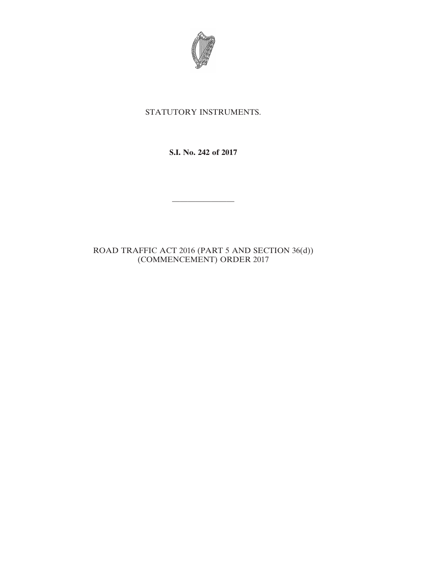

## STATUTORY INSTRUMENTS.

**S.I. No. 242 of 2017**

————————

ROAD TRAFFIC ACT 2016 (PART 5 AND SECTION 36(d)) (COMMENCEMENT) ORDER 2017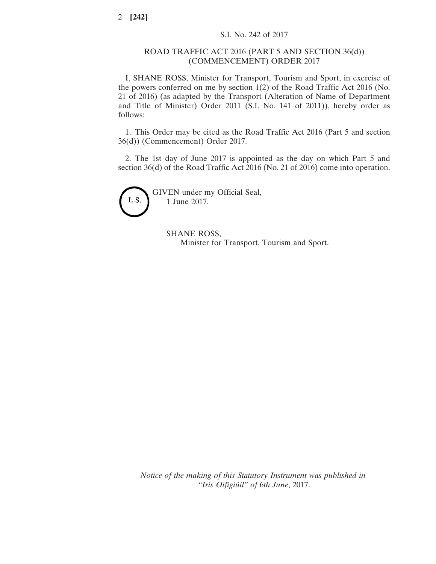## ROAD TRAFFIC ACT 2016 (PART 5 AND SECTION 36(d)) (COMMENCEMENT) ORDER 2017

I, SHANE ROSS, Minister for Transport, Tourism and Sport, in exercise of the powers conferred on me by section 1(2) of the Road Traffic Act 2016 (No. 21 of 2016) (as adapted by the Transport (Alteration of Name of Department and Title of Minister) Order 2011 (S.I. No. 141 of 2011)), hereby order as follows:

1. This Order may be cited as the Road Traffic Act 2016 (Part 5 and section 36(d)) (Commencement) Order 2017.

2. The 1st day of June 2017 is appointed as the day on which Part 5 and section 36(d) of the Road Traffic Act 2016 (No. 21 of 2016) come into operation.



SHANE ROSS, Minister for Transport, Tourism and Sport.

*Notice of the making of this Statutory Instrument was published in "Iris Oifigiúil" of* 6*th June*, 2017.